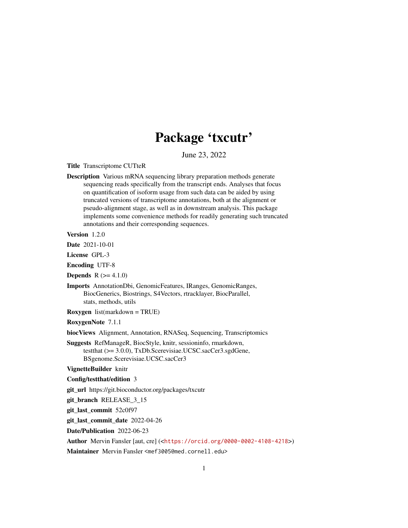# Package 'txcutr'

June 23, 2022

<span id="page-0-0"></span>Title Transcriptome CUTteR

Description Various mRNA sequencing library preparation methods generate sequencing reads specifically from the transcript ends. Analyses that focus on quantification of isoform usage from such data can be aided by using truncated versions of transcriptome annotations, both at the alignment or pseudo-alignment stage, as well as in downstream analysis. This package implements some convenience methods for readily generating such truncated annotations and their corresponding sequences.

Version 1.2.0

Date 2021-10-01

License GPL-3

Encoding UTF-8

**Depends**  $R (= 4.1.0)$ 

Imports AnnotationDbi, GenomicFeatures, IRanges, GenomicRanges, BiocGenerics, Biostrings, S4Vectors, rtracklayer, BiocParallel, stats, methods, utils

Roxygen list(markdown = TRUE)

RoxygenNote 7.1.1

biocViews Alignment, Annotation, RNASeq, Sequencing, Transcriptomics

- Suggests RefManageR, BiocStyle, knitr, sessioninfo, rmarkdown, testthat (>= 3.0.0), TxDb.Scerevisiae.UCSC.sacCer3.sgdGene, BSgenome.Scerevisiae.UCSC.sacCer3
- VignetteBuilder knitr

Config/testthat/edition 3

git\_url https://git.bioconductor.org/packages/txcutr

git\_branch RELEASE\_3\_15

git\_last\_commit 52c0f97

git\_last\_commit\_date 2022-04-26

Date/Publication 2022-06-23

Author Mervin Fansler [aut, cre] (<<https://orcid.org/0000-0002-4108-4218>>)

Maintainer Mervin Fansler <mef3005@med.cornell.edu>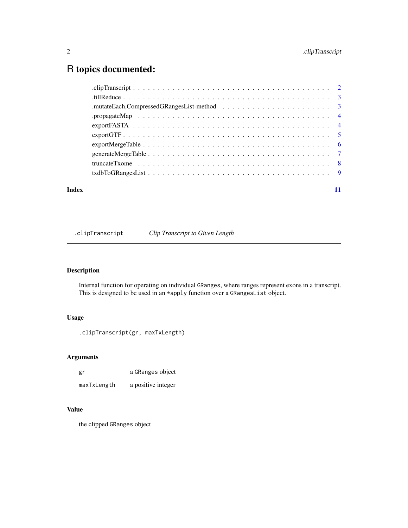# <span id="page-1-0"></span>2 . ClipTranscript

# R topics documented:

| Index | 11 |
|-------|----|

.clipTranscript *Clip Transcript to Given Length*

#### Description

Internal function for operating on individual GRanges, where ranges represent exons in a transcript. This is designed to be used in an \*apply function over a GRangesList object.

# Usage

.clipTranscript(gr, maxTxLength)

# Arguments

| gr          | a GRanges object   |
|-------------|--------------------|
| maxTxLength | a positive integer |

# Value

the clipped GRanges object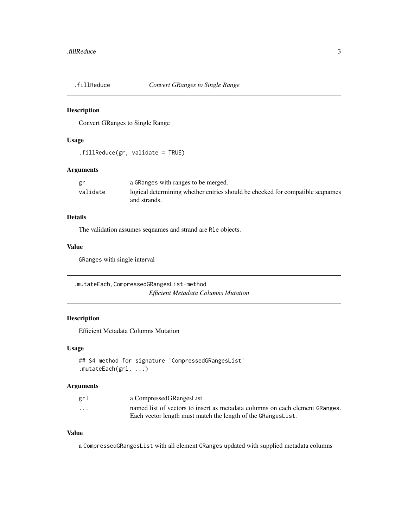<span id="page-2-0"></span>

#### Description

Convert GRanges to Single Range

#### Usage

.fillReduce(gr, validate = TRUE)

#### Arguments

| gr       | a GRanges with ranges to be merged.                                           |
|----------|-------------------------------------------------------------------------------|
| validate | logical determining whether entries should be checked for compatible segnames |
|          | and strands.                                                                  |

# Details

The validation assumes seqnames and strand are Rle objects.

#### Value

GRanges with single interval

.mutateEach,CompressedGRangesList-method *Efficient Metadata Columns Mutation*

#### Description

Efficient Metadata Columns Mutation

#### Usage

```
## S4 method for signature 'CompressedGRangesList'
.mutateEach(grl, ...)
```
#### Arguments

| grl                     | a CompressedGRangesList                                                      |
|-------------------------|------------------------------------------------------------------------------|
| $\cdot$ $\cdot$ $\cdot$ | named list of vectors to insert as metadata columns on each element GRanges. |
|                         | Each vector length must match the length of the GRangesList.                 |

#### Value

a CompressedGRangesList with all element GRanges updated with supplied metadata columns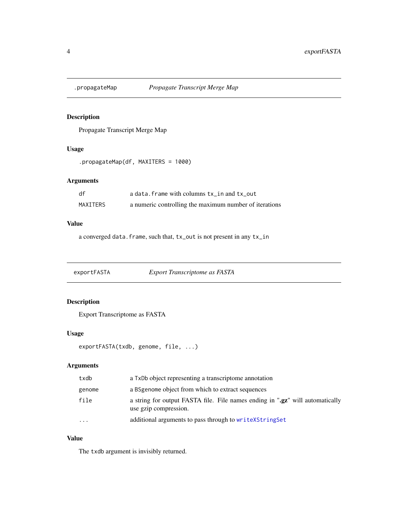<span id="page-3-0"></span>

#### Description

Propagate Transcript Merge Map

#### Usage

```
.propagateMap(df, MAXITERS = 1000)
```
# Arguments

| df       | a data. frame with columns tx in and tx out            |
|----------|--------------------------------------------------------|
| MAXITERS | a numeric controlling the maximum number of iterations |

# Value

a converged data.frame, such that, tx\_out is not present in any tx\_in

exportFASTA *Export Transcriptome as FASTA*

# Description

Export Transcriptome as FASTA

#### Usage

exportFASTA(txdb, genome, file, ...)

#### Arguments

| txdb    | a TxDb object representing a transcriptome annotation                                                  |
|---------|--------------------------------------------------------------------------------------------------------|
| genome  | a BS genome object from which to extract sequences                                                     |
| file    | a string for output FASTA file. File names ending in ".gz" will automatically<br>use gzip compression. |
| $\cdot$ | additional arguments to pass through to write XString Set                                              |

#### Value

The txdb argument is invisibly returned.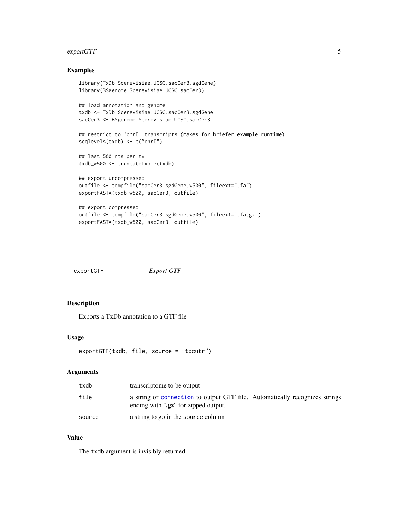#### <span id="page-4-0"></span>exportGTF 5

# Examples

```
library(TxDb.Scerevisiae.UCSC.sacCer3.sgdGene)
library(BSgenome.Scerevisiae.UCSC.sacCer3)
## load annotation and genome
txdb <- TxDb.Scerevisiae.UCSC.sacCer3.sgdGene
sacCer3 <- BSgenome.Scerevisiae.UCSC.sacCer3
## restrict to 'chrI' transcripts (makes for briefer example runtime)
seqlevels(txdb) <- c("chrI")
## last 500 nts per tx
txdb_w500 <- truncateTxome(txdb)
## export uncompressed
outfile <- tempfile("sacCer3.sgdGene.w500", fileext=".fa")
exportFASTA(txdb_w500, sacCer3, outfile)
## export compressed
outfile <- tempfile("sacCer3.sgdGene.w500", fileext=".fa.gz")
exportFASTA(txdb_w500, sacCer3, outfile)
```

| exportGTF | <b>Export GTF</b> |
|-----------|-------------------|
|           |                   |

#### Description

Exports a TxDb annotation to a GTF file

#### Usage

```
exportGTF(txdb, file, source = "txcutr")
```
#### Arguments

| txdb   | transcriptome to be output                                                                                                   |
|--------|------------------------------------------------------------------------------------------------------------------------------|
| file   | a string or connection to output GTF file. Automatically recognizes strings<br>ending with " <b>.gz</b> " for zipped output. |
| source | a string to go in the source column                                                                                          |

#### Value

The txdb argument is invisibly returned.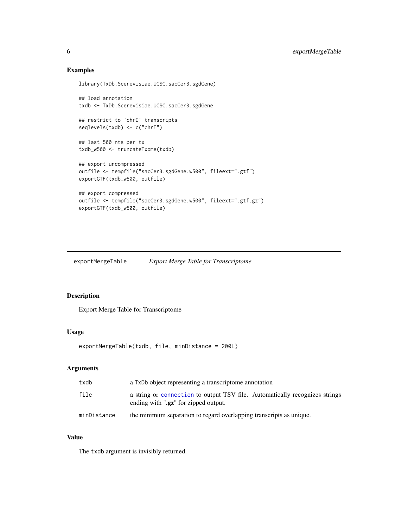### Examples

```
library(TxDb.Scerevisiae.UCSC.sacCer3.sgdGene)
## load annotation
txdb <- TxDb.Scerevisiae.UCSC.sacCer3.sgdGene
## restrict to 'chrI' transcripts
seqlevels(txdb) <- c("chrI")
## last 500 nts per tx
txdb_w500 <- truncateTxome(txdb)
## export uncompressed
outfile <- tempfile("sacCer3.sgdGene.w500", fileext=".gtf")
exportGTF(txdb_w500, outfile)
## export compressed
outfile <- tempfile("sacCer3.sgdGene.w500", fileext=".gtf.gz")
exportGTF(txdb_w500, outfile)
```
exportMergeTable *Export Merge Table for Transcriptome*

#### Description

Export Merge Table for Transcriptome

#### Usage

```
exportMergeTable(txdb, file, minDistance = 200L)
```
# Arguments

| txdb        | a TxDb object representing a transcriptome annotation                                                                        |
|-------------|------------------------------------------------------------------------------------------------------------------------------|
| file        | a string or connection to output TSV file. Automatically recognizes strings<br>ending with " <b>.gz</b> " for zipped output. |
| minDistance | the minimum separation to regard overlapping transcripts as unique.                                                          |

# Value

The txdb argument is invisibly returned.

<span id="page-5-0"></span>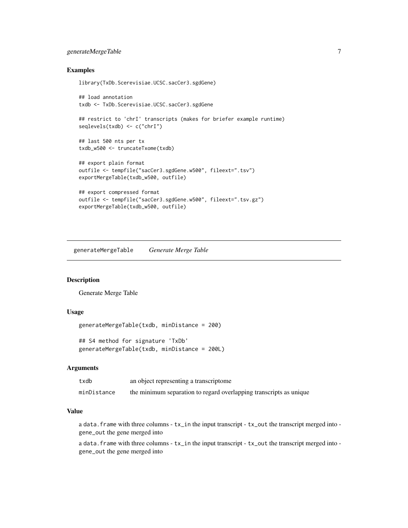#### <span id="page-6-0"></span>generateMergeTable 7

#### Examples

```
library(TxDb.Scerevisiae.UCSC.sacCer3.sgdGene)
## load annotation
txdb <- TxDb.Scerevisiae.UCSC.sacCer3.sgdGene
## restrict to 'chrI' transcripts (makes for briefer example runtime)
seqlevels(txdb) <- c("chrI")
```

```
## last 500 nts per tx
txdb_w500 <- truncateTxome(txdb)
```

```
## export plain format
outfile <- tempfile("sacCer3.sgdGene.w500", fileext=".tsv")
exportMergeTable(txdb_w500, outfile)
```

```
## export compressed format
outfile <- tempfile("sacCer3.sgdGene.w500", fileext=".tsv.gz")
exportMergeTable(txdb_w500, outfile)
```
generateMergeTable *Generate Merge Table*

#### Description

Generate Merge Table

#### Usage

```
generateMergeTable(txdb, minDistance = 200)
```
## S4 method for signature 'TxDb' generateMergeTable(txdb, minDistance = 200L)

#### Arguments

| txdb        | an object representing a transcriptome                             |
|-------------|--------------------------------------------------------------------|
| minDistance | the minimum separation to regard overlapping transcripts as unique |

#### Value

a data.frame with three columns - tx\_in the input transcript - tx\_out the transcript merged into gene\_out the gene merged into

a data.frame with three columns - tx\_in the input transcript - tx\_out the transcript merged into gene\_out the gene merged into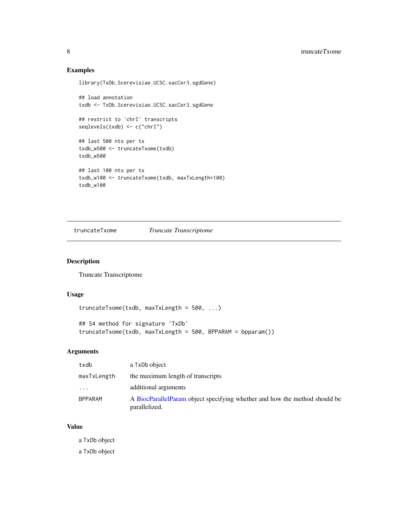# Examples

```
library(TxDb.Scerevisiae.UCSC.sacCer3.sgdGene)
```

```
## load annotation
txdb <- TxDb.Scerevisiae.UCSC.sacCer3.sgdGene
## restrict to 'chrI' transcripts
seqlevels(txdb) <- c("chrI")
## last 500 nts per tx
txdb_w500 <- truncateTxome(txdb)
txdb_w500
## last 100 nts per tx
txdb_w100 <- truncateTxome(txdb, maxTxLength=100)
txdb_w100
```
truncateTxome *Truncate Transcriptome*

#### Description

Truncate Transcriptome

#### Usage

```
truncateTxome(txdb, maxTxLength = 500, ...)
## S4 method for signature 'TxDb'
truncateTxome(txdb, maxTxLength = 500, BPPARAM = bpparam())
```
# Arguments

| txdb           | a TxDb object                                                                               |
|----------------|---------------------------------------------------------------------------------------------|
| maxTxLength    | the maximum length of transcripts                                                           |
| .              | additional arguments                                                                        |
| <b>BPPARAM</b> | A BiocParallelParam object specifying whether and how the method should be<br>parallelized. |

#### Value

a TxDb object

a TxDb object

<span id="page-7-0"></span>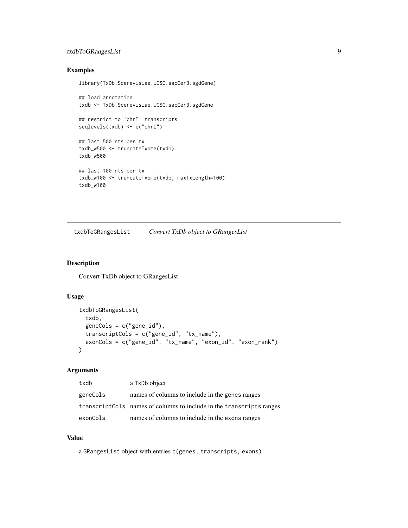#### <span id="page-8-0"></span>txdbToGRangesList 9

### Examples

```
library(TxDb.Scerevisiae.UCSC.sacCer3.sgdGene)
```

```
## load annotation
txdb <- TxDb.Scerevisiae.UCSC.sacCer3.sgdGene
## restrict to 'chrI' transcripts
seqlevels(txdb) <- c("chrI")
## last 500 nts per tx
txdb_w500 <- truncateTxome(txdb)
txdb_w500
## last 100 nts per tx
txdb_w100 <- truncateTxome(txdb, maxTxLength=100)
txdb_w100
```
txdbToGRangesList *Convert TxDb object to GRangesList*

#### Description

Convert TxDb object to GRangesList

# Usage

```
txdbToGRangesList(
  txdb,
  geneCols = c("gene_id"),
  transcriptCols = c("gene_id", "tx_name"),
 exonCols = c("gene_id", "tx_name", "exon_id", "exon_rank")
\lambda
```
#### Arguments

| txdb     | a TxDb object                                                         |
|----------|-----------------------------------------------------------------------|
| geneCols | names of columns to include in the genes ranges                       |
|          | transcript Cols names of columns to include in the transcripts ranges |
| exonCols | names of columns to include in the exons ranges                       |

#### Value

a GRangesList object with entries c(genes, transcripts, exons)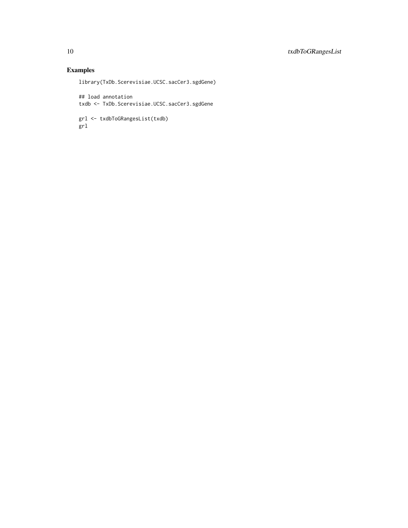# Examples

library(TxDb.Scerevisiae.UCSC.sacCer3.sgdGene)

## load annotation txdb <- TxDb.Scerevisiae.UCSC.sacCer3.sgdGene

grl <- txdbToGRangesList(txdb) grl